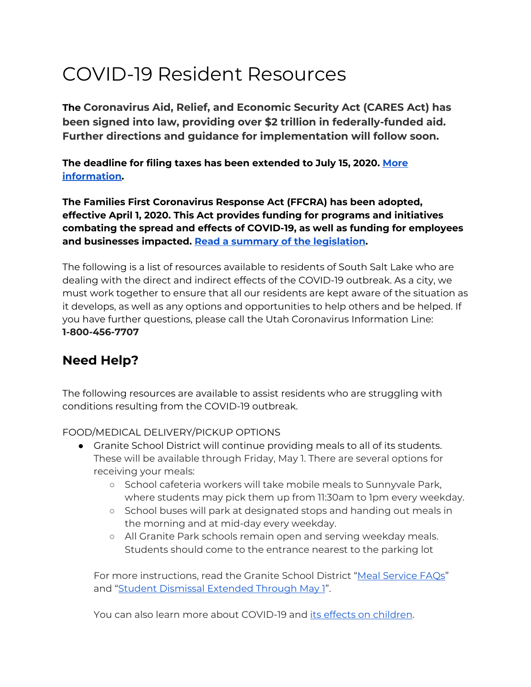# COVID-19 Resident Resources

**The Coronavirus Aid, Relief, and Economic Security Act (CARES Act) has been signed into law, providing over \$2 trillion in federally-funded aid. Further directions and guidance for implementation will follow soon.**

**The deadline for filing taxes has been extended to July 15, 2020. [More](https://www.irs.gov/newsroom/tax-day-now-july-15-treasury-irs-extend-filing-deadline-and-federal-tax-payments-regardless-of-amount-owed) [information](https://www.irs.gov/newsroom/tax-day-now-july-15-treasury-irs-extend-filing-deadline-and-federal-tax-payments-regardless-of-amount-owed).**

**The Families First Coronavirus Response Act (FFCRA) has been adopted, effective April 1, 2020. This Act provides funding for programs and initiatives combating the spread and effects of COVID-19, as well as funding for employees and businesses impacted. Read a summary of the [legislation.](https://appropriations.house.gov/sites/democrats.appropriations.house.gov/files/Families%20First%20summary.pdf)**

The following is a list of resources available to residents of South Salt Lake who are dealing with the direct and indirect effects of the COVID-19 outbreak. As a city, we must work together to ensure that all our residents are kept aware of the situation as it develops, as well as any options and opportunities to help others and be helped. If you have further questions, please call the Utah Coronavirus Information Line: **1-800-456-7707**

## **Need Help?**

The following resources are available to assist residents who are struggling with conditions resulting from the COVID-19 outbreak.

FOOD/MEDICAL DELIVERY/PICKUP OPTIONS

- Granite School District will continue providing meals to all of its students. These will be available through Friday, May 1. There are several options for receiving your meals:
	- School cafeteria workers will take mobile meals to Sunnyvale Park, where students may pick them up from 11:30am to 1pm every weekday.
	- School buses will park at designated stops and handing out meals in the morning and at mid-day every weekday.
	- All Granite Park schools remain open and serving weekday meals. Students should come to the entrance nearest to the parking lot

For more instructions, read the Granite School District "Meal [Service](https://www.graniteschools.org/blog/2020/03/23/meal-service-faqs/) FAQs" and "Student Dismissal [Extended](https://www.graniteschools.org/blog/2020/03/23/student-dismissal-extended-through-may-1/) Through May 1".

You can also learn more about COVID-19 and its effects on [children.](https://www.smore.com/8u3p6-emsc-connects-special-issue?ref=email)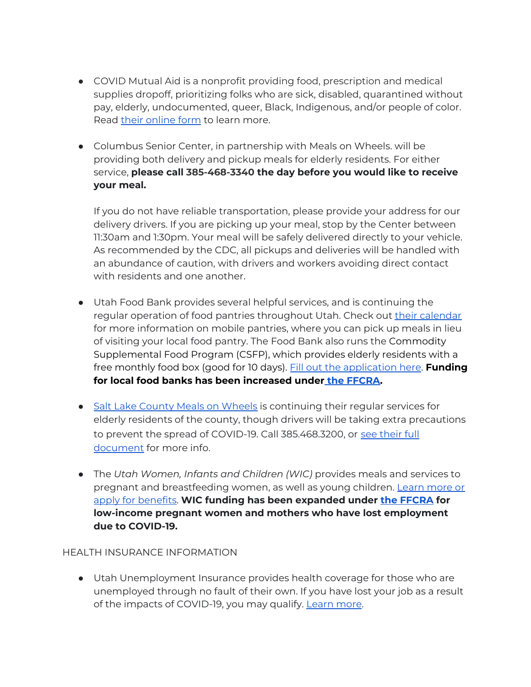- COVID Mutual Aid is a nonprofit providing food, prescription and medical supplies dropoff, prioritizing folks who are sick, disabled, quarantined without pay, elderly, undocumented, queer, Black, Indigenous, and/or people of color. Read their [online](https://docs.google.com/forms/d/e/1FAIpQLScxXvjQFMgKvJyijqfVDv-Wc2jj_TWBn1ZJPEUuwg71OTPqew/viewform) form to learn more.
- Columbus Senior Center, in partnership with Meals on Wheels. will be providing both delivery and pickup meals for elderly residents. For either service, **please call 385-468-3340 the day before you would like to receive your meal.**

If you do not have reliable transportation, please provide your address for our delivery drivers. If you are picking up your meal, stop by the Center between 11:30am and 1:30pm. Your meal will be safely delivered directly to your vehicle. As recommended by the CDC, all pickups and deliveries will be handled with an abundance of caution, with drivers and workers avoiding direct contact with residents and one another.

- Utah Food Bank provides several helpful services, and is continuing the regular operation of food pantries throughout Utah. Check out their [calendar](https://www.utahfoodbank.org/programs/mobile-pantry/) for more information on mobile pantries, where you can pick up meals in lieu of visiting your local food pantry. The Food Bank also runs the Commodity Supplemental Food Program (CSFP), which provides elderly residents with a free monthly food box (good for 10 days). Fill out the [application](https://www.utahfoodbank.org/csfp/csfp-application-process/) here. **Funding for local food banks has been increased under the [FFCRA.](https://www.nhpco.org/wp-content/uploads/Families_First_Summary.pdf)**
- Salt Lake County Meals on [Wheels](https://slco.org/aging-adult-services/meals-on-wheels/) is continuing their regular services for elderly residents of the county, though drivers will be taking extra precautions to prevent the spread of COVID-19. Call 385.468.3200, or see [their](https://slco.org/contentassets/b1a01ecc576c426c89393735ced07d38/mow-clients--drivers-covid-19-002.pdf) full [document](https://slco.org/contentassets/b1a01ecc576c426c89393735ced07d38/mow-clients--drivers-covid-19-002.pdf) for more info.
- The *Utah Women, Infants and Children (WIC)* provides meals and services to pregnant and breastfeeding women, as well as young children. [Learn](https://wic.utah.gov/) more or apply for [benefits.](https://wic.utah.gov/) **WIC funding has been expanded under the [FFCRA](https://www.nhpco.org/wp-content/uploads/Families_First_Summary.pdf) for low-income pregnant women and mothers who have lost employment due to COVID-19.**

#### HEALTH INSURANCE INFORMATION

● Utah Unemployment Insurance provides health coverage for those who are unemployed through no fault of their own. If you have lost your job as a result of the impacts of COVID-19, you may qualify. [Learn](https://www.benefits.gov/benefit/1823) more.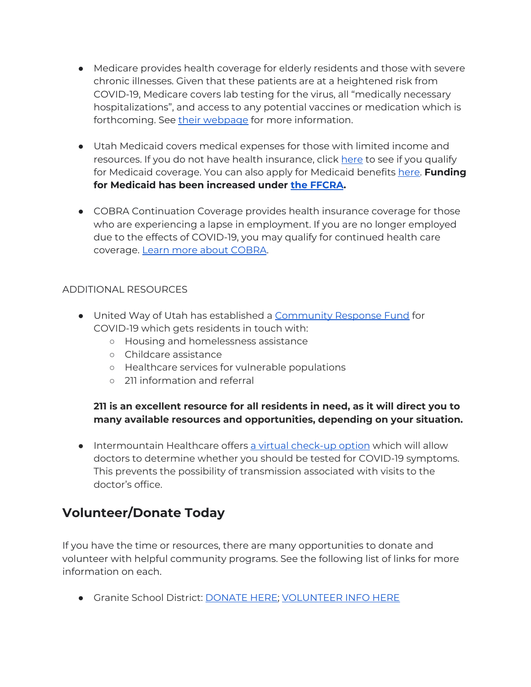- Medicare provides health coverage for elderly residents and those with severe chronic illnesses. Given that these patients are at a heightened risk from COVID-19, Medicare covers lab testing for the virus, all "medically necessary hospitalizations", and access to any potential vaccines or medication which is forthcoming. See their [webpage](https://www.medicare.gov/medicare-coronavirus) for more information.
- Utah Medicaid covers medical expenses for those with limited income and resources. If you do not have health insurance, click [here](https://medicaid.utah.gov/who-eligible/) to see if you qualify for Medicaid coverage. You can also apply for Medicaid benefits [here](https://jobs.utah.gov/mycase/). **Funding for Medicaid has been increased under the [FFCRA](https://www.nhpco.org/wp-content/uploads/Families_First_Summary.pdf).**
- COBRA Continuation Coverage provides health insurance coverage for those who are experiencing a lapse in employment. If you are no longer employed due to the effects of COVID-19, you may qualify for continued health care coverage. Learn more about [COBRA.](https://www.benefits.gov/benefit/4727)

#### ADDITIONAL RESOURCES

- United Way of Utah has established a [Community](https://uw.org/covid19-community-fund/) Response Fund for COVID-19 which gets residents in touch with:
	- Housing and homelessness assistance
	- Childcare assistance
	- Healthcare services for vulnerable populations
	- 211 information and referral

### **211 is an excellent resource for all residents in need, as it will direct you to many available resources and opportunities, depending on your situation.**

● Intermountain Healthcare offers a virtual [check-up](https://intermountainhealthcare.org/services/urgent-care/connect-care/) option which will allow doctors to determine whether you should be tested for COVID-19 symptoms. This prevents the possibility of transmission associated with visits to the doctor's office.

## **Volunteer/Donate Today**

If you have the time or resources, there are many opportunities to donate and volunteer with helpful community programs. See the following list of links for more information on each.

● Granite School District: [DONATE](https://granitekids.charityproud.org/donate) HERE; [VOLUNTEER](https://granitekids.org/get-involved/volunteer/) INFO HERE